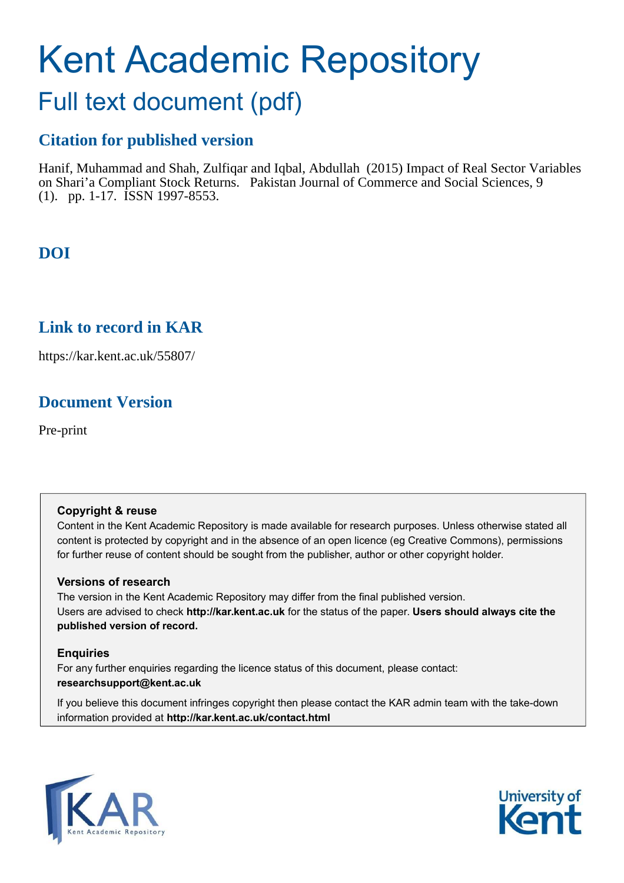# Kent Academic Repository

## Full text document (pdf)

## **Citation for published version**

Hanif, Muhammad and Shah, Zulfiqar and Iqbal, Abdullah (2015) Impact of Real Sector Variables on Shari'a Compliant Stock Returns. Pakistan Journal of Commerce and Social Sciences, 9 (1). pp. 1-17. ISSN 1997-8553.

## **DOI**

## **Link to record in KAR**

https://kar.kent.ac.uk/55807/

## **Document Version**

Pre-print

#### **Copyright & reuse**

Content in the Kent Academic Repository is made available for research purposes. Unless otherwise stated all content is protected by copyright and in the absence of an open licence (eg Creative Commons), permissions for further reuse of content should be sought from the publisher, author or other copyright holder.

#### **Versions of research**

The version in the Kent Academic Repository may differ from the final published version. Users are advised to check **http://kar.kent.ac.uk** for the status of the paper. **Users should always cite the published version of record.**

#### **Enquiries**

For any further enquiries regarding the licence status of this document, please contact: **researchsupport@kent.ac.uk**

If you believe this document infringes copyright then please contact the KAR admin team with the take-down information provided at **http://kar.kent.ac.uk/contact.html**



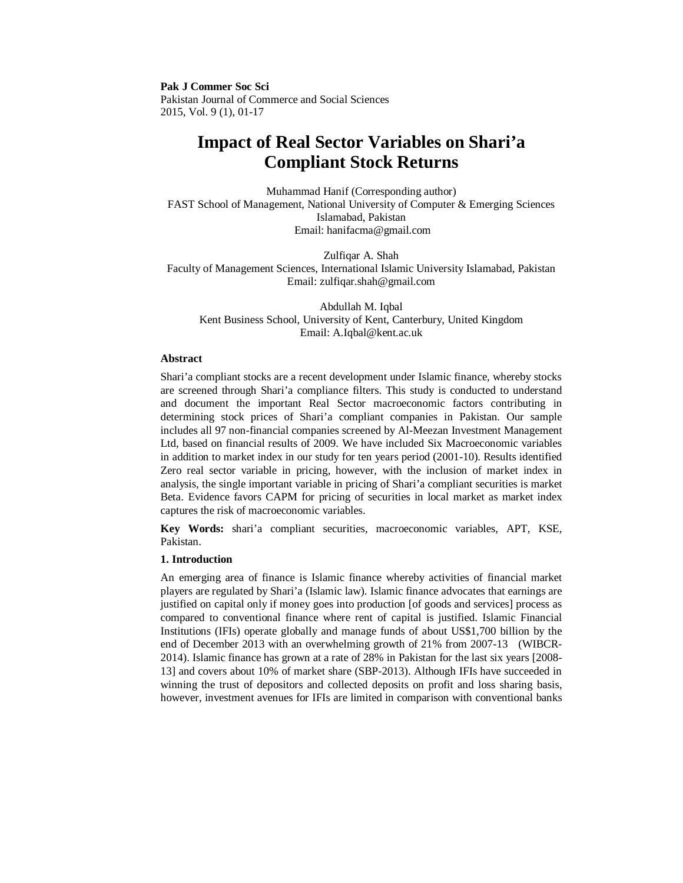**Pak J Commer Soc Sci**  Pakistan Journal of Commerce and Social Sciences 2015, Vol. 9 (1), 01-17

### **Impact of Real Sector Variables on Shari'a Compliant Stock Returns**

Muhammad Hanif (Corresponding author) FAST School of Management, National University of Computer & Emerging Sciences Islamabad, Pakistan Email: hanifacma@gmail.com

Zulfiqar A. Shah Faculty of Management Sciences, International Islamic University Islamabad, Pakistan Email: zulfiqar.shah@gmail.com

Abdullah M. Iqbal Kent Business School, University of Kent, Canterbury, United Kingdom Email: A.Iqbal@kent.ac.uk

#### **Abstract**

Shari'a compliant stocks are a recent development under Islamic finance, whereby stocks are screened through Shari'a compliance filters. This study is conducted to understand and document the important Real Sector macroeconomic factors contributing in determining stock prices of Shari'a compliant companies in Pakistan. Our sample includes all 97 non-financial companies screened by Al-Meezan Investment Management Ltd, based on financial results of 2009. We have included Six Macroeconomic variables in addition to market index in our study for ten years period (2001-10). Results identified Zero real sector variable in pricing, however, with the inclusion of market index in analysis, the single important variable in pricing of Shari'a compliant securities is market Beta. Evidence favors CAPM for pricing of securities in local market as market index captures the risk of macroeconomic variables.

**Key Words:** shari'a compliant securities, macroeconomic variables, APT, KSE, Pakistan.

#### **1. Introduction**

An emerging area of finance is Islamic finance whereby activities of financial market players are regulated by Shari'a (Islamic law). Islamic finance advocates that earnings are justified on capital only if money goes into production [of goods and services] process as compared to conventional finance where rent of capital is justified. Islamic Financial Institutions (IFIs) operate globally and manage funds of about US\$1,700 billion by the end of December 2013 with an overwhelming growth of 21% from 2007-13 (WIBCR-2014). Islamic finance has grown at a rate of 28% in Pakistan for the last six years [2008- 13] and covers about 10% of market share (SBP-2013). Although IFIs have succeeded in winning the trust of depositors and collected deposits on profit and loss sharing basis, however, investment avenues for IFIs are limited in comparison with conventional banks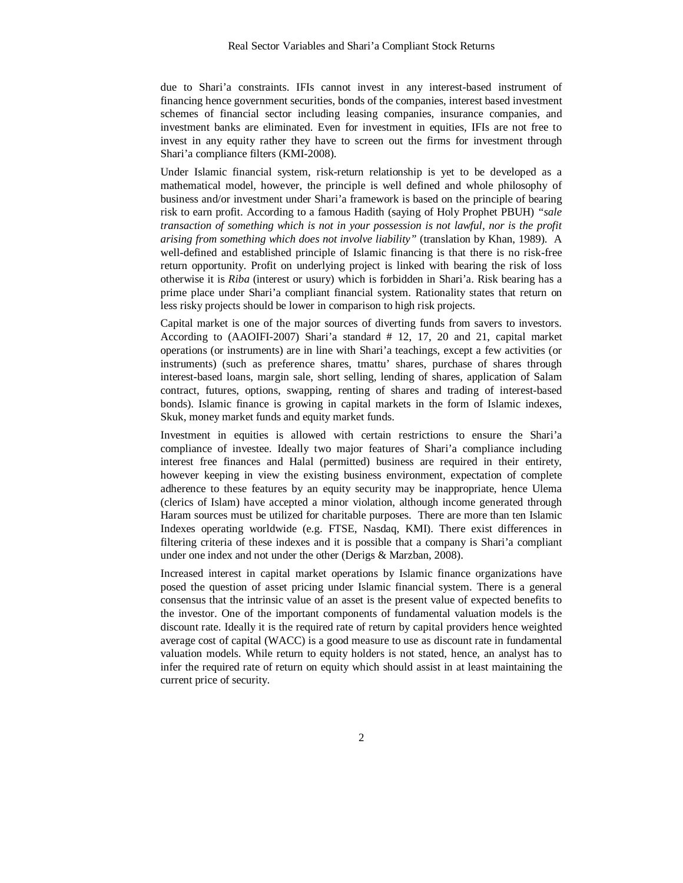due to Shari'a constraints. IFIs cannot invest in any interest-based instrument of financing hence government securities, bonds of the companies, interest based investment schemes of financial sector including leasing companies, insurance companies, and investment banks are eliminated. Even for investment in equities, IFIs are not free to invest in any equity rather they have to screen out the firms for investment through Shari'a compliance filters (KMI-2008).

Under Islamic financial system, risk-return relationship is yet to be developed as a mathematical model, however, the principle is well defined and whole philosophy of business and/or investment under Shari'a framework is based on the principle of bearing risk to earn profit. According to a famous Hadith (saying of Holy Prophet PBUH) *"sale transaction of something which is not in your possession is not lawful, nor is the profit arising from something which does not involve liability"* (translation by Khan, 1989). A well-defined and established principle of Islamic financing is that there is no risk-free return opportunity. Profit on underlying project is linked with bearing the risk of loss otherwise it is *Riba* (interest or usury) which is forbidden in Shari'a. Risk bearing has a prime place under Shari'a compliant financial system. Rationality states that return on less risky projects should be lower in comparison to high risk projects.

Capital market is one of the major sources of diverting funds from savers to investors. According to (AAOIFI-2007) Shari'a standard # 12, 17, 20 and 21, capital market operations (or instruments) are in line with Shari'a teachings, except a few activities (or instruments) (such as preference shares, tmattu' shares, purchase of shares through interest-based loans, margin sale, short selling, lending of shares, application of Salam contract, futures, options, swapping, renting of shares and trading of interest-based bonds). Islamic finance is growing in capital markets in the form of Islamic indexes, Skuk, money market funds and equity market funds.

Investment in equities is allowed with certain restrictions to ensure the Shari'a compliance of investee. Ideally two major features of Shari'a compliance including interest free finances and Halal (permitted) business are required in their entirety, however keeping in view the existing business environment, expectation of complete adherence to these features by an equity security may be inappropriate, hence Ulema (clerics of Islam) have accepted a minor violation, although income generated through Haram sources must be utilized for charitable purposes. There are more than ten Islamic Indexes operating worldwide (e.g. FTSE, Nasdaq, KMI). There exist differences in filtering criteria of these indexes and it is possible that a company is Shari'a compliant under one index and not under the other (Derigs & Marzban, 2008).

Increased interest in capital market operations by Islamic finance organizations have posed the question of asset pricing under Islamic financial system. There is a general consensus that the intrinsic value of an asset is the present value of expected benefits to the investor. One of the important components of fundamental valuation models is the discount rate. Ideally it is the required rate of return by capital providers hence weighted average cost of capital (WACC) is a good measure to use as discount rate in fundamental valuation models. While return to equity holders is not stated, hence, an analyst has to infer the required rate of return on equity which should assist in at least maintaining the current price of security.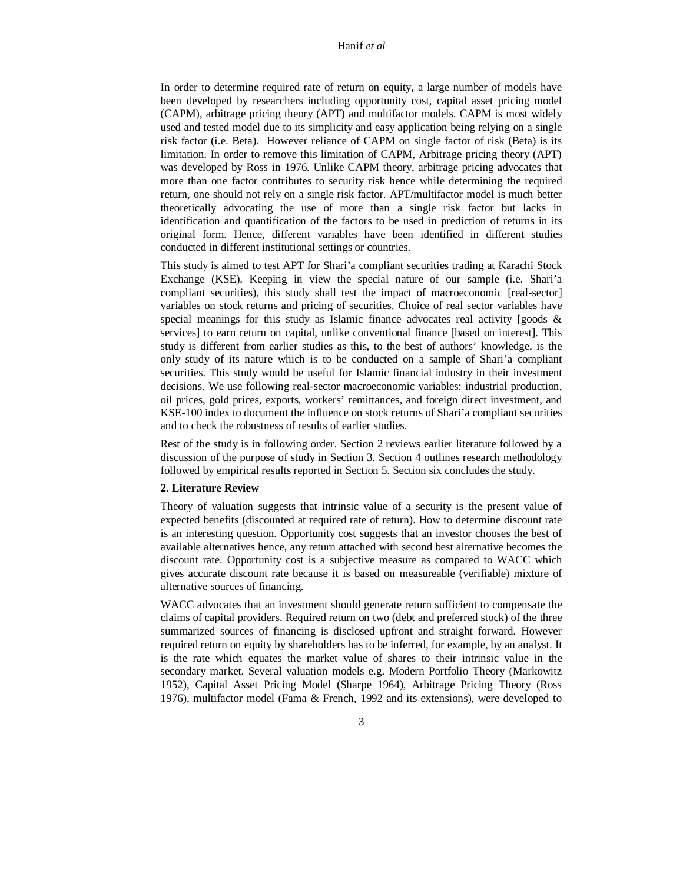In order to determine required rate of return on equity, a large number of models have been developed by researchers including opportunity cost, capital asset pricing model (CAPM), arbitrage pricing theory (APT) and multifactor models. CAPM is most widely used and tested model due to its simplicity and easy application being relying on a single risk factor (i.e. Beta). However reliance of CAPM on single factor of risk (Beta) is its limitation. In order to remove this limitation of CAPM, Arbitrage pricing theory (APT) was developed by Ross in 1976. Unlike CAPM theory, arbitrage pricing advocates that more than one factor contributes to security risk hence while determining the required return, one should not rely on a single risk factor. APT/multifactor model is much better theoretically advocating the use of more than a single risk factor but lacks in identification and quantification of the factors to be used in prediction of returns in its original form. Hence, different variables have been identified in different studies conducted in different institutional settings or countries.

This study is aimed to test APT for Shari'a compliant securities trading at Karachi Stock Exchange (KSE). Keeping in view the special nature of our sample (i.e. Shari'a compliant securities), this study shall test the impact of macroeconomic [real-sector] variables on stock returns and pricing of securities. Choice of real sector variables have special meanings for this study as Islamic finance advocates real activity [goods  $\&$ services] to earn return on capital, unlike conventional finance [based on interest]. This study is different from earlier studies as this, to the best of authors' knowledge, is the only study of its nature which is to be conducted on a sample of Shari'a compliant securities. This study would be useful for Islamic financial industry in their investment decisions. We use following real-sector macroeconomic variables: industrial production, oil prices, gold prices, exports, workers' remittances, and foreign direct investment, and KSE-100 index to document the influence on stock returns of Shari'a compliant securities and to check the robustness of results of earlier studies.

Rest of the study is in following order. Section 2 reviews earlier literature followed by a discussion of the purpose of study in Section 3. Section 4 outlines research methodology followed by empirical results reported in Section 5. Section six concludes the study.

#### **2. Literature Review**

Theory of valuation suggests that intrinsic value of a security is the present value of expected benefits (discounted at required rate of return). How to determine discount rate is an interesting question. Opportunity cost suggests that an investor chooses the best of available alternatives hence, any return attached with second best alternative becomes the discount rate. Opportunity cost is a subjective measure as compared to WACC which gives accurate discount rate because it is based on measureable (verifiable) mixture of alternative sources of financing.

WACC advocates that an investment should generate return sufficient to compensate the claims of capital providers. Required return on two (debt and preferred stock) of the three summarized sources of financing is disclosed upfront and straight forward. However required return on equity by shareholders has to be inferred, for example, by an analyst. It is the rate which equates the market value of shares to their intrinsic value in the secondary market. Several valuation models e.g. Modern Portfolio Theory (Markowitz 1952), Capital Asset Pricing Model (Sharpe 1964), Arbitrage Pricing Theory (Ross 1976), multifactor model (Fama & French, 1992 and its extensions), were developed to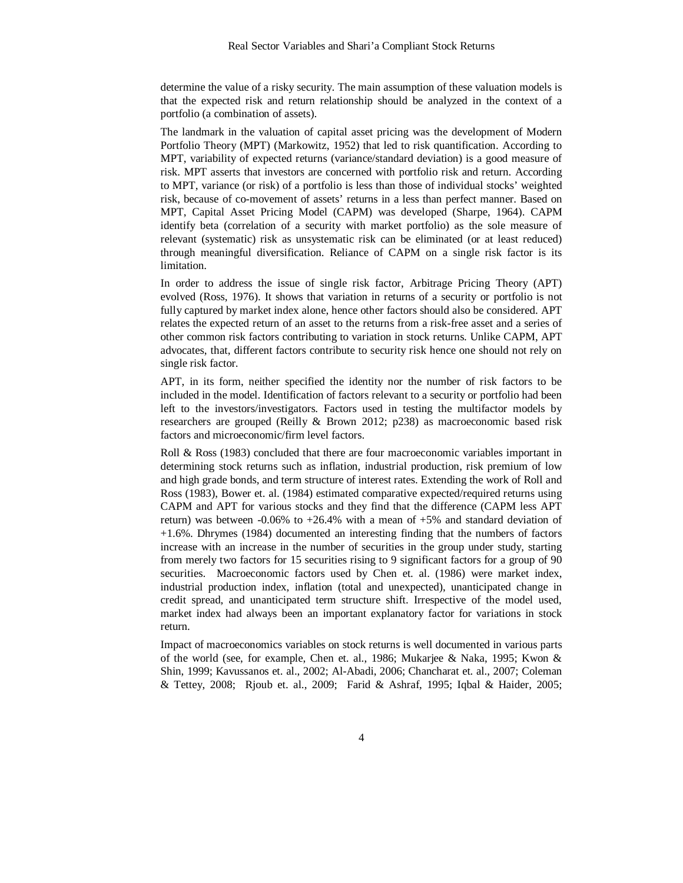determine the value of a risky security. The main assumption of these valuation models is that the expected risk and return relationship should be analyzed in the context of a portfolio (a combination of assets).

The landmark in the valuation of capital asset pricing was the development of Modern Portfolio Theory (MPT) (Markowitz, 1952) that led to risk quantification. According to MPT, variability of expected returns (variance/standard deviation) is a good measure of risk. MPT asserts that investors are concerned with portfolio risk and return. According to MPT, variance (or risk) of a portfolio is less than those of individual stocks' weighted risk, because of co-movement of assets' returns in a less than perfect manner. Based on MPT, Capital Asset Pricing Model (CAPM) was developed (Sharpe, 1964). CAPM identify beta (correlation of a security with market portfolio) as the sole measure of relevant (systematic) risk as unsystematic risk can be eliminated (or at least reduced) through meaningful diversification. Reliance of CAPM on a single risk factor is its limitation.

In order to address the issue of single risk factor, Arbitrage Pricing Theory (APT) evolved (Ross, 1976). It shows that variation in returns of a security or portfolio is not fully captured by market index alone, hence other factors should also be considered. APT relates the expected return of an asset to the returns from a risk-free asset and a series of other common risk factors contributing to variation in stock returns. Unlike CAPM, APT advocates, that, different factors contribute to security risk hence one should not rely on single risk factor.

APT, in its form, neither specified the identity nor the number of risk factors to be included in the model. Identification of factors relevant to a security or portfolio had been left to the investors/investigators. Factors used in testing the multifactor models by researchers are grouped (Reilly & Brown 2012; p238) as macroeconomic based risk factors and microeconomic/firm level factors.

Roll & Ross (1983) concluded that there are four macroeconomic variables important in determining stock returns such as inflation, industrial production, risk premium of low and high grade bonds, and term structure of interest rates. Extending the work of Roll and Ross (1983), Bower et. al. (1984) estimated comparative expected/required returns using CAPM and APT for various stocks and they find that the difference (CAPM less APT return) was between -0.06% to  $+26.4\%$  with a mean of  $+5\%$  and standard deviation of +1.6%. Dhrymes (1984) documented an interesting finding that the numbers of factors increase with an increase in the number of securities in the group under study, starting from merely two factors for 15 securities rising to 9 significant factors for a group of 90 securities. Macroeconomic factors used by Chen et. al. (1986) were market index, industrial production index, inflation (total and unexpected), unanticipated change in credit spread, and unanticipated term structure shift. Irrespective of the model used, market index had always been an important explanatory factor for variations in stock return.

Impact of macroeconomics variables on stock returns is well documented in various parts of the world (see, for example, Chen et. al., 1986; Mukarjee & Naka, 1995; Kwon & Shin, 1999; Kavussanos et. al., 2002; Al-Abadi, 2006; Chancharat et. al., 2007; Coleman & Tettey, 2008; Rjoub et. al., 2009; Farid & Ashraf, 1995; Iqbal & Haider, 2005;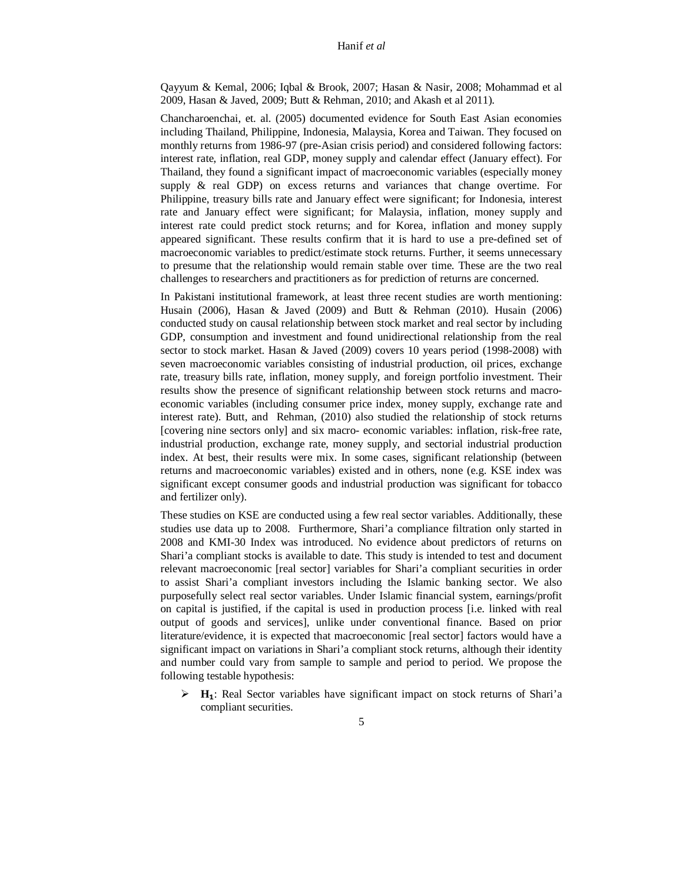Qayyum & Kemal, 2006; Iqbal & Brook, 2007; Hasan & Nasir, 2008; Mohammad et al 2009, Hasan & Javed, 2009; Butt & Rehman, 2010; and Akash et al 2011).

Chancharoenchai, et. al. (2005) documented evidence for South East Asian economies including Thailand, Philippine, Indonesia, Malaysia, Korea and Taiwan. They focused on monthly returns from 1986-97 (pre-Asian crisis period) and considered following factors: interest rate, inflation, real GDP, money supply and calendar effect (January effect). For Thailand, they found a significant impact of macroeconomic variables (especially money supply & real GDP) on excess returns and variances that change overtime. For Philippine, treasury bills rate and January effect were significant; for Indonesia, interest rate and January effect were significant; for Malaysia, inflation, money supply and interest rate could predict stock returns; and for Korea, inflation and money supply appeared significant. These results confirm that it is hard to use a pre-defined set of macroeconomic variables to predict/estimate stock returns. Further, it seems unnecessary to presume that the relationship would remain stable over time. These are the two real challenges to researchers and practitioners as for prediction of returns are concerned.

In Pakistani institutional framework, at least three recent studies are worth mentioning: Husain (2006), Hasan & Javed (2009) and Butt & Rehman (2010). Husain (2006) conducted study on causal relationship between stock market and real sector by including GDP, consumption and investment and found unidirectional relationship from the real sector to stock market. Hasan & Javed (2009) covers 10 years period (1998-2008) with seven macroeconomic variables consisting of industrial production, oil prices, exchange rate, treasury bills rate, inflation, money supply, and foreign portfolio investment. Their results show the presence of significant relationship between stock returns and macroeconomic variables (including consumer price index, money supply, exchange rate and interest rate). Butt, and Rehman, (2010) also studied the relationship of stock returns [covering nine sectors only] and six macro- economic variables: inflation, risk-free rate, industrial production, exchange rate, money supply, and sectorial industrial production index. At best, their results were mix. In some cases, significant relationship (between returns and macroeconomic variables) existed and in others, none (e.g. KSE index was significant except consumer goods and industrial production was significant for tobacco and fertilizer only).

These studies on KSE are conducted using a few real sector variables. Additionally, these studies use data up to 2008. Furthermore, Shari'a compliance filtration only started in 2008 and KMI-30 Index was introduced. No evidence about predictors of returns on Shari'a compliant stocks is available to date. This study is intended to test and document relevant macroeconomic [real sector] variables for Shari'a compliant securities in order to assist Shari'a compliant investors including the Islamic banking sector. We also purposefully select real sector variables. Under Islamic financial system, earnings/profit on capital is justified, if the capital is used in production process [i.e. linked with real output of goods and services], unlike under conventional finance. Based on prior literature/evidence, it is expected that macroeconomic [real sector] factors would have a significant impact on variations in Shari'a compliant stock returns, although their identity and number could vary from sample to sample and period to period. We propose the following testable hypothesis:

 **Hゃ**: Real Sector variables have significant impact on stock returns of Shari'a compliant securities.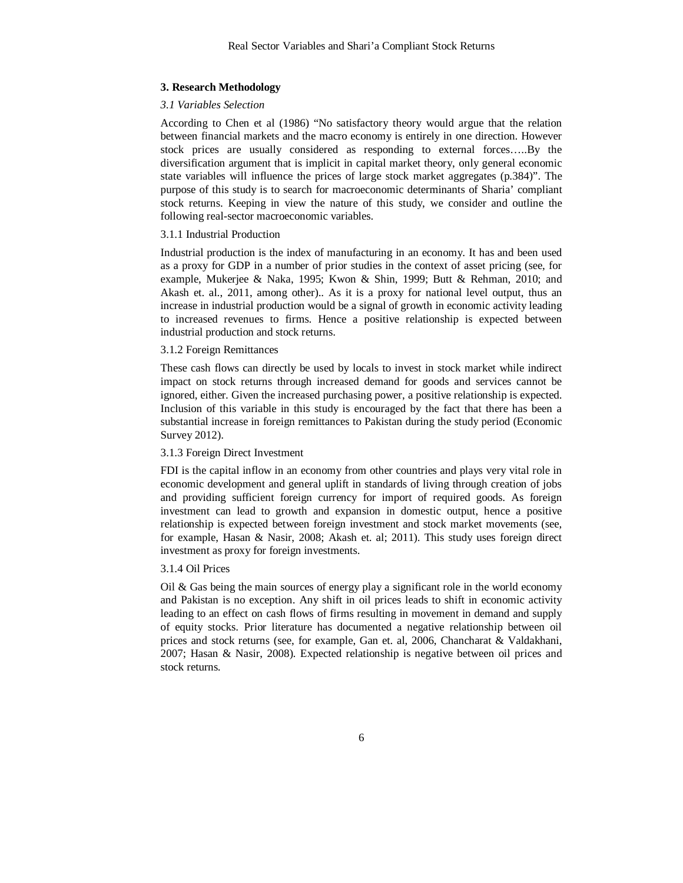#### **3. Research Methodology**

#### *3.1 Variables Selection*

According to Chen et al (1986) "No satisfactory theory would argue that the relation between financial markets and the macro economy is entirely in one direction. However stock prices are usually considered as responding to external forces…..By the diversification argument that is implicit in capital market theory, only general economic state variables will influence the prices of large stock market aggregates (p.384)". The purpose of this study is to search for macroeconomic determinants of Sharia' compliant stock returns. Keeping in view the nature of this study, we consider and outline the following real-sector macroeconomic variables.

#### 3.1.1 Industrial Production

Industrial production is the index of manufacturing in an economy. It has and been used as a proxy for GDP in a number of prior studies in the context of asset pricing (see, for example, Mukerjee & Naka, 1995; Kwon & Shin, 1999; Butt & Rehman, 2010; and Akash et. al., 2011, among other).. As it is a proxy for national level output, thus an increase in industrial production would be a signal of growth in economic activity leading to increased revenues to firms. Hence a positive relationship is expected between industrial production and stock returns.

#### 3.1.2 Foreign Remittances

These cash flows can directly be used by locals to invest in stock market while indirect impact on stock returns through increased demand for goods and services cannot be ignored, either. Given the increased purchasing power, a positive relationship is expected. Inclusion of this variable in this study is encouraged by the fact that there has been a substantial increase in foreign remittances to Pakistan during the study period (Economic Survey 2012).

#### 3.1.3 Foreign Direct Investment

FDI is the capital inflow in an economy from other countries and plays very vital role in economic development and general uplift in standards of living through creation of jobs and providing sufficient foreign currency for import of required goods. As foreign investment can lead to growth and expansion in domestic output, hence a positive relationship is expected between foreign investment and stock market movements (see, for example, Hasan & Nasir, 2008; Akash et. al; 2011). This study uses foreign direct investment as proxy for foreign investments.

#### 3.1.4 Oil Prices

Oil  $\&$  Gas being the main sources of energy play a significant role in the world economy and Pakistan is no exception. Any shift in oil prices leads to shift in economic activity leading to an effect on cash flows of firms resulting in movement in demand and supply of equity stocks. Prior literature has documented a negative relationship between oil prices and stock returns (see, for example, Gan et. al, 2006, Chancharat & Valdakhani, 2007; Hasan & Nasir, 2008). Expected relationship is negative between oil prices and stock returns.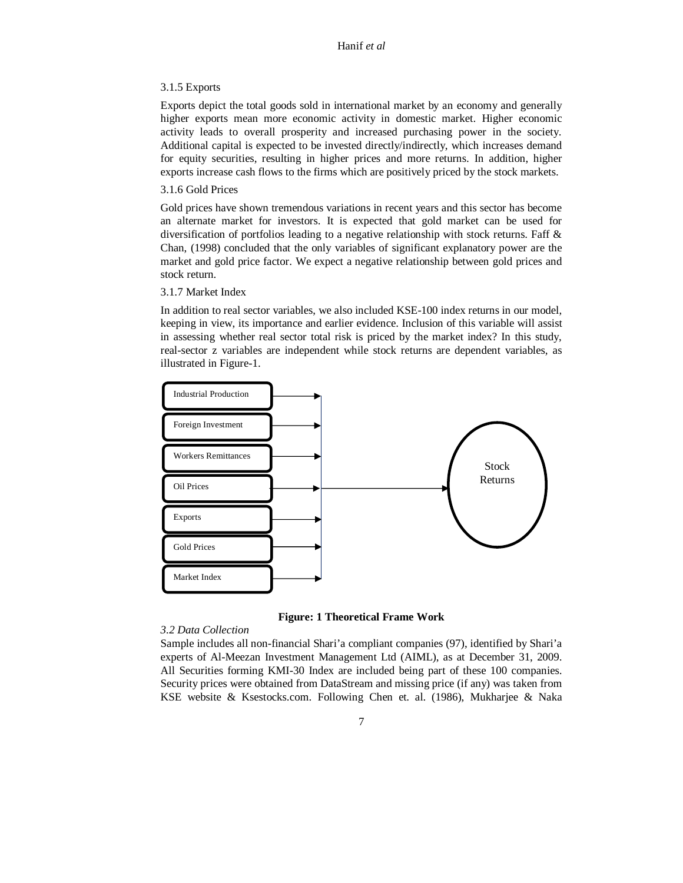#### 3.1.5 Exports

Exports depict the total goods sold in international market by an economy and generally higher exports mean more economic activity in domestic market. Higher economic activity leads to overall prosperity and increased purchasing power in the society. Additional capital is expected to be invested directly/indirectly, which increases demand for equity securities, resulting in higher prices and more returns. In addition, higher exports increase cash flows to the firms which are positively priced by the stock markets.

#### 3.1.6 Gold Prices

Gold prices have shown tremendous variations in recent years and this sector has become an alternate market for investors. It is expected that gold market can be used for diversification of portfolios leading to a negative relationship with stock returns. Faff & Chan, (1998) concluded that the only variables of significant explanatory power are the market and gold price factor. We expect a negative relationship between gold prices and stock return.

#### 3.1.7 Market Index

In addition to real sector variables, we also included KSE-100 index returns in our model, keeping in view, its importance and earlier evidence. Inclusion of this variable will assist in assessing whether real sector total risk is priced by the market index? In this study, real-sector z variables are independent while stock returns are dependent variables, as illustrated in Figure-1.



**Figure: 1 Theoretical Frame Work** 

#### *3.2 Data Collection*

Sample includes all non-financial Shari'a compliant companies (97), identified by Shari'a experts of Al-Meezan Investment Management Ltd (AIML), as at December 31, 2009. All Securities forming KMI-30 Index are included being part of these 100 companies. Security prices were obtained from DataStream and missing price (if any) was taken from KSE website & Ksestocks.com. Following Chen et. al. (1986), Mukharjee & Naka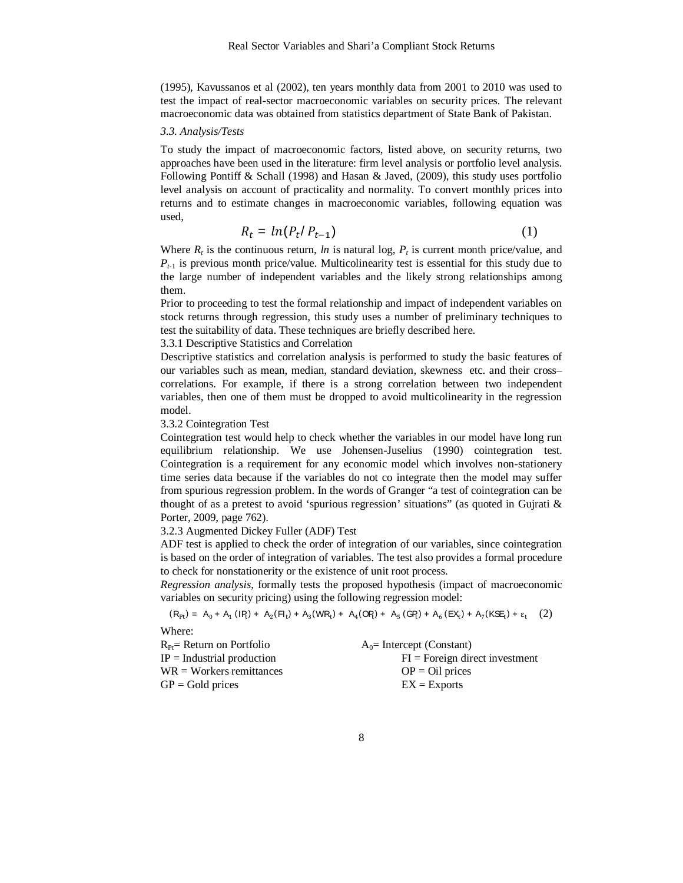(1995), Kavussanos et al (2002), ten years monthly data from 2001 to 2010 was used to test the impact of real-sector macroeconomic variables on security prices. The relevant macroeconomic data was obtained from statistics department of State Bank of Pakistan.

#### *3.3. Analysis/Tests*

To study the impact of macroeconomic factors, listed above, on security returns, two approaches have been used in the literature: firm level analysis or portfolio level analysis. Following Pontiff & Schall (1998) and Hasan & Javed, (2009), this study uses portfolio level analysis on account of practicality and normality. To convert monthly prices into returns and to estimate changes in macroeconomic variables, following equation was used,

$$
R_t = \ln(P_t/P_{t-1})\tag{1}
$$

Where  $R_t$  is the continuous return, *ln* is natural log,  $P_t$  is current month price/value, and  $P_{t-1}$  is previous month price/value. Multicolinearity test is essential for this study due to the large number of independent variables and the likely strong relationships among them.

Prior to proceeding to test the formal relationship and impact of independent variables on stock returns through regression, this study uses a number of preliminary techniques to test the suitability of data. These techniques are briefly described here.

#### 3.3.1 Descriptive Statistics and Correlation

Descriptive statistics and correlation analysis is performed to study the basic features of our variables such as mean, median, standard deviation, skewness etc. and their cross– correlations. For example, if there is a strong correlation between two independent variables, then one of them must be dropped to avoid multicolinearity in the regression model.

#### 3.3.2 Cointegration Test

Cointegration test would help to check whether the variables in our model have long run equilibrium relationship. We use Johensen-Juselius (1990) cointegration test. Cointegration is a requirement for any economic model which involves non-stationery time series data because if the variables do not co integrate then the model may suffer from spurious regression problem. In the words of Granger "a test of cointegration can be thought of as a pretest to avoid 'spurious regression' situations" (as quoted in Gujrati & Porter, 2009, page 762).

#### 3.2.3 Augmented Dickey Fuller (ADF) Test

ADF test is applied to check the order of integration of our variables, since cointegration is based on the order of integration of variables. The test also provides a formal procedure to check for nonstationerity or the existence of unit root process.

*Regression analysis*, formally tests the proposed hypothesis (impact of macroeconomic variables on security pricing) using the following regression model:

$$
(R_{Pt}) = A_0 + A_1 (IP_t) + A_2 (Fl_t) + A_3 (WR_t) + A_4 (OP_t) + A_5 (GP_t) + A_6 (EX_t) + A_7 (KSE_t) + \varepsilon_t (2)
$$

Where:

| $R_{Pf}$ Return on Portfolio | $A_0$ = Intercept (Constant)     |
|------------------------------|----------------------------------|
| $IP =$ Industrial production | $FI = Foreign direct investment$ |
| $WR = Workers$ remittances   | $OP = Oil$ prices                |
| $GP = Gold$ prices           | $EX = Exports$                   |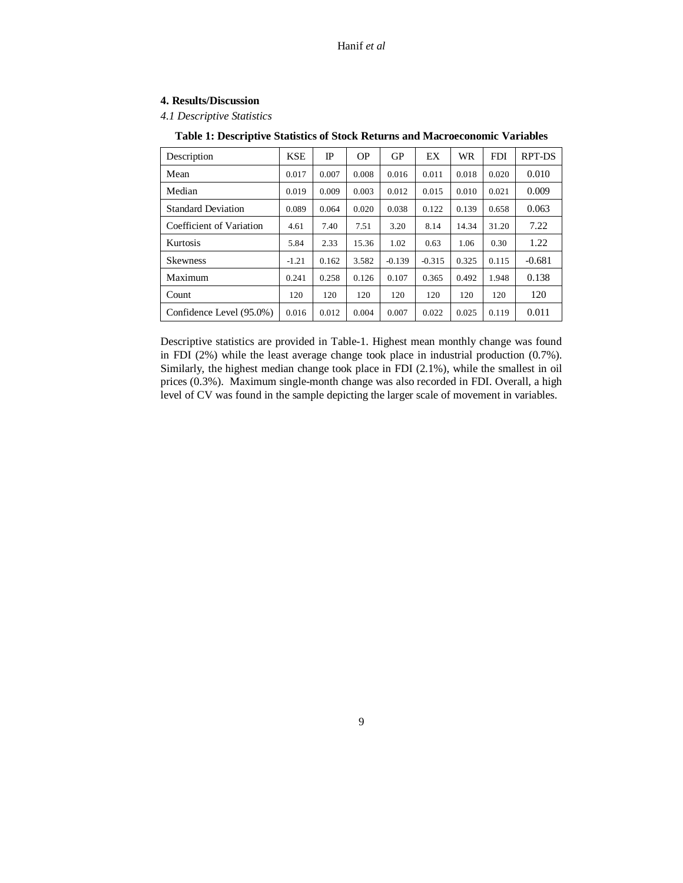#### **4. Results/Discussion**

*4.1 Descriptive Statistics*

| Description               | <b>KSE</b> | $_{\rm IP}$ | <b>OP</b> | <b>GP</b> | EX       | WR    | <b>FDI</b> | RPT-DS   |
|---------------------------|------------|-------------|-----------|-----------|----------|-------|------------|----------|
| Mean                      | 0.017      | 0.007       | 0.008     | 0.016     | 0.011    | 0.018 | 0.020      | 0.010    |
| Median                    | 0.019      | 0.009       | 0.003     | 0.012     | 0.015    | 0.010 | 0.021      | 0.009    |
| <b>Standard Deviation</b> | 0.089      | 0.064       | 0.020     | 0.038     | 0.122    | 0.139 | 0.658      | 0.063    |
| Coefficient of Variation  | 4.61       | 7.40        | 7.51      | 3.20      | 8.14     | 14.34 | 31.20      | 7.22     |
| Kurtosis                  | 5.84       | 2.33        | 15.36     | 1.02      | 0.63     | 1.06  | 0.30       | 1.22     |
| <b>Skewness</b>           | $-1.21$    | 0.162       | 3.582     | $-0.139$  | $-0.315$ | 0.325 | 0.115      | $-0.681$ |
| Maximum                   | 0.241      | 0.258       | 0.126     | 0.107     | 0.365    | 0.492 | 1.948      | 0.138    |
| Count                     | 120        | 120         | 120       | 120       | 120      | 120   | 120        | 120      |
| Confidence Level (95.0%)  | 0.016      | 0.012       | 0.004     | 0.007     | 0.022    | 0.025 | 0.119      | 0.011    |

#### **Table 1: Descriptive Statistics of Stock Returns and Macroeconomic Variables**

Descriptive statistics are provided in Table-1. Highest mean monthly change was found in FDI (2%) while the least average change took place in industrial production (0.7%). Similarly, the highest median change took place in FDI (2.1%), while the smallest in oil prices (0.3%). Maximum single-month change was also recorded in FDI. Overall, a high level of CV was found in the sample depicting the larger scale of movement in variables.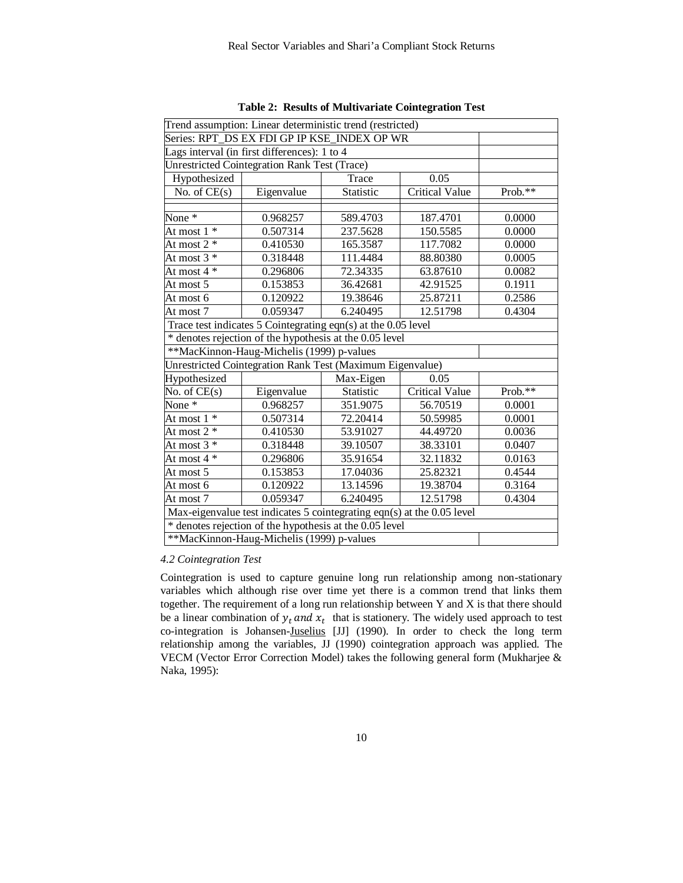| Trend assumption: Linear deterministic trend (restricted)              |                                                         |           |                |           |  |
|------------------------------------------------------------------------|---------------------------------------------------------|-----------|----------------|-----------|--|
| Series: RPT DS EX FDI GP IP KSE INDEX OP WR                            |                                                         |           |                |           |  |
| Lags interval (in first differences): 1 to 4                           |                                                         |           |                |           |  |
|                                                                        | Unrestricted Cointegration Rank Test (Trace)            |           |                |           |  |
| Hypothesized                                                           |                                                         | Trace     | 0.05           |           |  |
| No. of $CE(s)$                                                         | Eigenvalue                                              | Statistic | Critical Value | $Prob.**$ |  |
|                                                                        |                                                         |           |                |           |  |
| None $*$                                                               | 0.968257                                                | 589.4703  | 187.4701       | 0.0000    |  |
| At most $1*$                                                           | 0.507314                                                | 237.5628  | 150.5585       | 0.0000    |  |
| At most $2 *$                                                          | 0.410530                                                | 165.3587  | 117.7082       | 0.0000    |  |
| At most $3*$                                                           | 0.318448                                                | 111.4484  | 88.80380       | 0.0005    |  |
| At most $4 *$                                                          | 0.296806                                                | 72.34335  | 63.87610       | 0.0082    |  |
| At most 5                                                              | 0.153853                                                | 36.42681  | 42.91525       | 0.1911    |  |
| At most 6                                                              | 0.120922                                                | 19.38646  | 25.87211       | 0.2586    |  |
| At most 7                                                              | 0.059347                                                | 6.240495  | 12.51798       | 0.4304    |  |
| Trace test indicates 5 Cointegrating eqn(s) at the 0.05 level          |                                                         |           |                |           |  |
| * denotes rejection of the hypothesis at the 0.05 level                |                                                         |           |                |           |  |
| **MacKinnon-Haug-Michelis (1999) p-values                              |                                                         |           |                |           |  |
| Unrestricted Cointegration Rank Test (Maximum Eigenvalue)              |                                                         |           |                |           |  |
| Hypothesized                                                           |                                                         | Max-Eigen | 0.05           |           |  |
| No. of $CE(s)$                                                         | Eigenvalue                                              | Statistic | Critical Value | Prob.**   |  |
| None $*$                                                               | 0.968257                                                | 351.9075  | 56.70519       | 0.0001    |  |
| At most $1 *$                                                          | 0.507314                                                | 72.20414  | 50.59985       | 0.0001    |  |
| At most $2 *$                                                          | 0.410530                                                | 53.91027  | 44.49720       | 0.0036    |  |
| At most $3 *$                                                          | 0.318448                                                | 39.10507  | 38.33101       | 0.0407    |  |
| At most $4 *$                                                          | 0.296806                                                | 35.91654  | 32.11832       | 0.0163    |  |
| At most 5                                                              | 0.153853                                                | 17.04036  | 25.82321       | 0.4544    |  |
| At most 6                                                              | 0.120922                                                | 13.14596  | 19.38704       | 0.3164    |  |
| At most 7                                                              | 0.4304                                                  |           |                |           |  |
| Max-eigenvalue test indicates 5 cointegrating eqn(s) at the 0.05 level |                                                         |           |                |           |  |
|                                                                        | * denotes rejection of the hypothesis at the 0.05 level |           |                |           |  |
|                                                                        | **MacKinnon-Haug-Michelis (1999) p-values               |           |                |           |  |

**Table 2: Results of Multivariate Cointegration Test** 

#### *4.2 Cointegration Test*

Cointegration is used to capture genuine long run relationship among non-stationary variables which although rise over time yet there is a common trend that links them together. The requirement of a long run relationship between Y and X is that there should be a linear combination of  $y_t$  and  $x_t$  that is stationery. The widely used approach to test co-integration is Johansen-Juselius [JJ] (1990). In order to check the long term relationship among the variables, JJ (1990) cointegration approach was applied. The VECM (Vector Error Correction Model) takes the following general form (Mukharjee & Naka, 1995):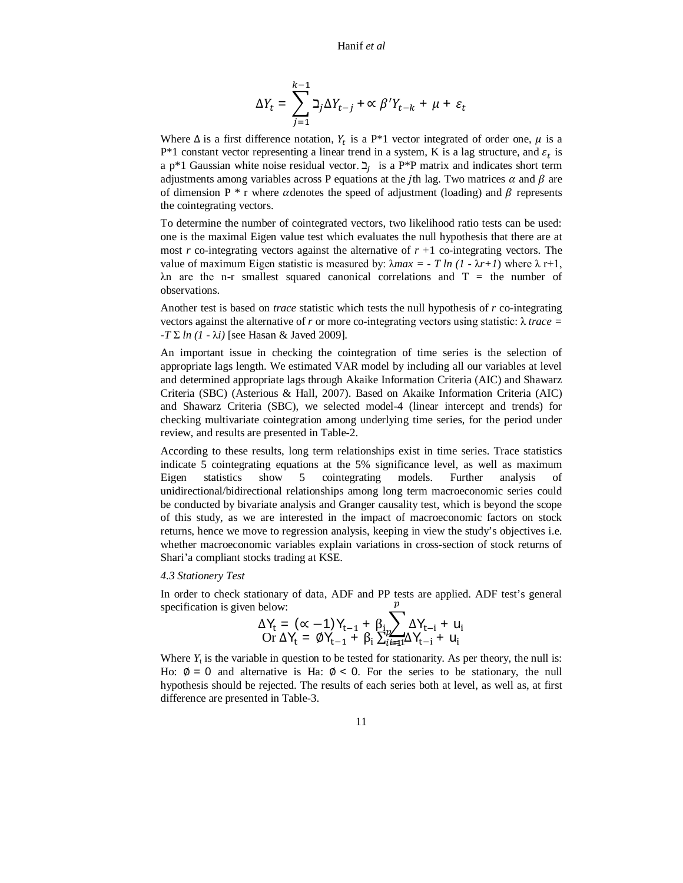Hanif *et al*

$$
\Delta Y_t = \sum_{j=1}^{k-1} \beth_j \Delta Y_{t-j} + \alpha \beta' Y_{t-k} + \mu + \varepsilon_t
$$

Where  $\Delta$  is a first difference notation,  $Y_t$  is a P\*1 vector integrated of order one,  $\mu$  is a  $P*1$  constant vector representing a linear trend in a system, K is a lag structure, and  $\varepsilon_t$  is a  $p^*$ 1 Gaussian white noise residual vector.  $\mathcal{I}_j$  is a  $P^*P$  matrix and indicates short term adjustments among variables across P equations at the *j*th lag. Two matrices  $\alpha$  and  $\beta$  are of dimension P  $*$  r where  $\alpha$  denotes the speed of adjustment (loading) and  $\beta$  represents the cointegrating vectors.

To determine the number of cointegrated vectors, two likelihood ratio tests can be used: one is the maximal Eigen value test which evaluates the null hypothesis that there are at most  $r$  co-integrating vectors against the alternative of  $r + 1$  co-integrating vectors. The value of maximum Eigen statistic is measured by:  $\lambda max = -T ln (1 - \lambda r + 1)$  where  $\lambda r + 1$ ,  $\lambda$ n are the n-r smallest squared canonical correlations and T = the number of observations.

Another test is based on *trace* statistic which tests the null hypothesis of *r* co-integrating vectors against the alternative of *r* or more co-integrating vectors using statistic:  $\lambda$  *trace* =  $-T \Sigma ln (1 - \lambda i)$  [see Hasan & Javed 2009].

An important issue in checking the cointegration of time series is the selection of appropriate lags length. We estimated VAR model by including all our variables at level and determined appropriate lags through Akaike Information Criteria (AIC) and Shawarz Criteria (SBC) (Asterious & Hall, 2007). Based on Akaike Information Criteria (AIC) and Shawarz Criteria (SBC), we selected model-4 (linear intercept and trends) for checking multivariate cointegration among underlying time series, for the period under review, and results are presented in Table-2.

According to these results, long term relationships exist in time series. Trace statistics indicate 5 cointegrating equations at the 5% significance level, as well as maximum Eigen statistics show 5 cointegrating models. Further analysis of unidirectional/bidirectional relationships among long term macroeconomic series could be conducted by bivariate analysis and Granger causality test, which is beyond the scope of this study, as we are interested in the impact of macroeconomic factors on stock returns, hence we move to regression analysis, keeping in view the study's objectives i.e. whether macroeconomic variables explain variations in cross-section of stock returns of Shari'a compliant stocks trading at KSE.

#### *4.3 Stationery Test*

In order to check stationary of data, ADF and PP tests are applied. ADF test's general specification is given below:  $\frac{p}{\sqrt{p}}$ 

$$
\Delta Y_{t} = (\alpha - 1)Y_{t-1} + \beta_{i} \sum_{i \neq 1} \Delta Y_{t-i} + u_{i}
$$
  
Or  $\Delta Y_{t} = \emptyset Y_{t-1} + \beta_{i} \sum_{i \neq 1} \Delta Y_{t-i} + u_{i}$ 

Where  $Y_t$  is the variable in question to be tested for stationarity. As per theory, the null is: Ho:  $\phi = 0$  and alternative is Ha:  $\phi < 0$ . For the series to be stationary, the null hypothesis should be rejected. The results of each series both at level, as well as, at first difference are presented in Table-3.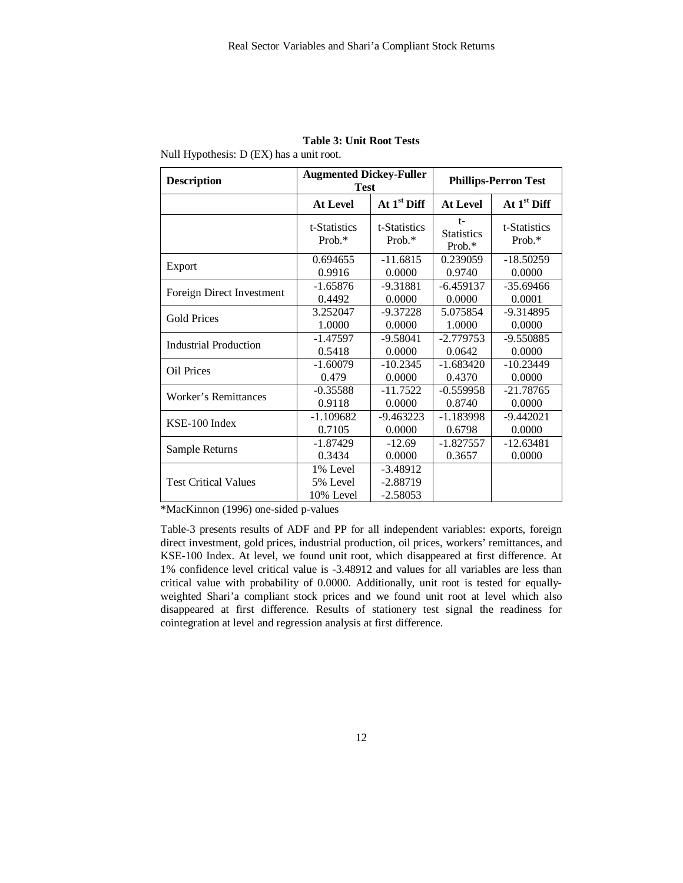| <b>Description</b>          | <b>Augmented Dickey-Fuller</b><br><b>Test</b> |                                        | <b>Phillips-Perron Test</b>            |                           |  |
|-----------------------------|-----------------------------------------------|----------------------------------------|----------------------------------------|---------------------------|--|
|                             | <b>At Level</b>                               | At $1st$ Diff                          | <b>At Level</b>                        | At $1st$ Diff             |  |
|                             | t-Statistics<br>$Prob.*$                      | t-Statistics<br>$Prob.*$               | $t-$<br><b>Statistics</b><br>Prob. $*$ | t-Statistics<br>Prob. $*$ |  |
| Export                      | 0.694655                                      | $-11.6815$                             | 0.239059                               | $-18.50259$               |  |
|                             | 0.9916                                        | 0.0000                                 | 0.9740                                 | 0.0000                    |  |
| Foreign Direct Investment   | $-1.65876$                                    | $-9.31881$                             | $-6.459137$                            | $-35.69466$               |  |
|                             | 0.4492                                        | 0.0000                                 | 0.0000                                 | 0.0001                    |  |
| <b>Gold Prices</b>          | 3.252047                                      | $-9.37228$                             | 5.075854                               | $-9.314895$               |  |
|                             | 1.0000                                        | 0.0000                                 | 1.0000                                 | 0.0000                    |  |
| Industrial Production       | -1.47597                                      | $-9.58041$                             | $-2.779753$                            | -9.550885                 |  |
|                             | 0.5418                                        | 0.0000                                 | 0.0642                                 | 0.0000                    |  |
| Oil Prices                  | $-1.60079$                                    | $-10.2345$                             | $-1.683420$                            | $-10.23449$               |  |
|                             | 0.479                                         | 0.0000                                 | 0.4370                                 | 0.0000                    |  |
| Worker's Remittances        | $-0.35588$                                    | $-11.7522$                             | $-0.559958$                            | $-21.78765$               |  |
|                             | 0.9118                                        | 0.0000                                 | 0.8740                                 | 0.0000                    |  |
| KSE-100 Index               | $-1.109682$                                   | $-9.463223$                            | $-1.183998$                            | $-9.442021$               |  |
|                             | 0.7105                                        | 0.0000                                 | 0.6798                                 | 0.0000                    |  |
| Sample Returns              | -1.87429                                      | $-12.69$                               | $-1.827557$                            | $-12.63481$               |  |
|                             | 0.3434                                        | 0.0000                                 | 0.3657                                 | 0.0000                    |  |
| <b>Test Critical Values</b> | 1% Level<br>5% Level<br>10% Level             | $-3.48912$<br>$-2.88719$<br>$-2.58053$ |                                        |                           |  |

#### **Table 3: Unit Root Tests**

Null Hypothesis: D (EX) has a unit root.

\*MacKinnon (1996) one-sided p-values

Table-3 presents results of ADF and PP for all independent variables: exports, foreign direct investment, gold prices, industrial production, oil prices, workers' remittances, and KSE-100 Index. At level, we found unit root, which disappeared at first difference. At 1% confidence level critical value is -3.48912 and values for all variables are less than critical value with probability of 0.0000. Additionally, unit root is tested for equallyweighted Shari'a compliant stock prices and we found unit root at level which also disappeared at first difference. Results of stationery test signal the readiness for cointegration at level and regression analysis at first difference.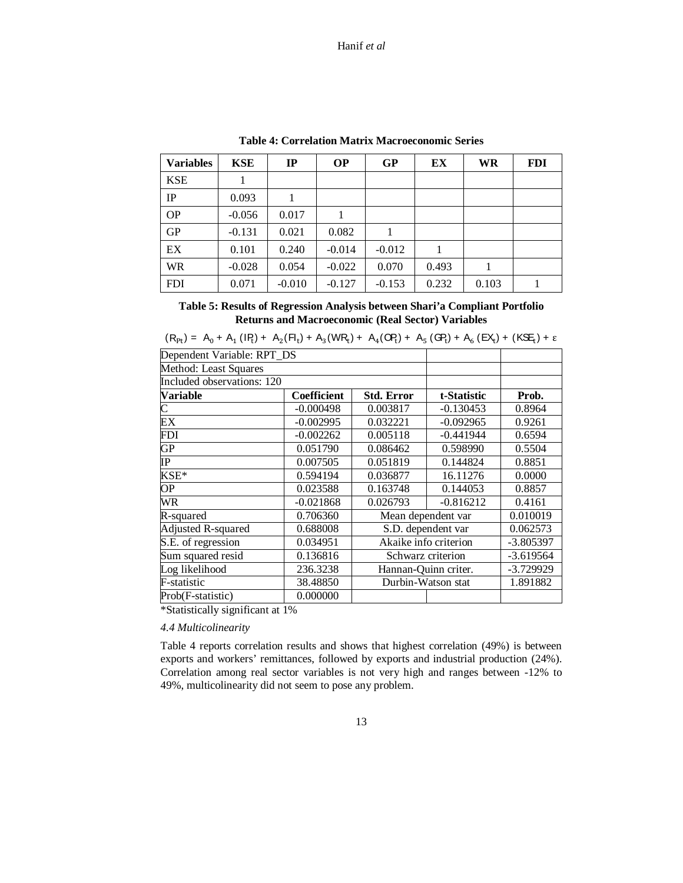| <b>Variables</b> | <b>KSE</b> | $_{\rm IP}$ | <b>OP</b> | <b>GP</b> | EX    | <b>WR</b> | <b>FDI</b> |
|------------------|------------|-------------|-----------|-----------|-------|-----------|------------|
| <b>KSE</b>       |            |             |           |           |       |           |            |
| IP               | 0.093      |             |           |           |       |           |            |
| <b>OP</b>        | $-0.056$   | 0.017       |           |           |       |           |            |
| <b>GP</b>        | $-0.131$   | 0.021       | 0.082     |           |       |           |            |
| EX               | 0.101      | 0.240       | $-0.014$  | $-0.012$  | 1     |           |            |
| <b>WR</b>        | $-0.028$   | 0.054       | $-0.022$  | 0.070     | 0.493 |           |            |
| <b>FDI</b>       | 0.071      | $-0.010$    | $-0.127$  | $-0.153$  | 0.232 | 0.103     |            |

**Table 4: Correlation Matrix Macroeconomic Series** 

**Table 5: Results of Regression Analysis between Shari'a Compliant Portfolio Returns and Macroeconomic (Real Sector) Variables** 

| <b>Coefficient</b> | <b>Std. Error</b>                                        | t-Statistic | Prob.                                                                                                                                                                                                                                                                                                                                  |
|--------------------|----------------------------------------------------------|-------------|----------------------------------------------------------------------------------------------------------------------------------------------------------------------------------------------------------------------------------------------------------------------------------------------------------------------------------------|
| $-0.000498$        | 0.003817                                                 | $-0.130453$ | 0.8964                                                                                                                                                                                                                                                                                                                                 |
| $-0.002995$        | 0.032221                                                 | $-0.092965$ | 0.9261                                                                                                                                                                                                                                                                                                                                 |
| $-0.002262$        | 0.005118                                                 | $-0.441944$ | 0.6594                                                                                                                                                                                                                                                                                                                                 |
| 0.051790           | 0.086462                                                 | 0.598990    | 0.5504                                                                                                                                                                                                                                                                                                                                 |
| 0.007505           | 0.051819                                                 | 0.144824    | 0.8851                                                                                                                                                                                                                                                                                                                                 |
| 0.594194           | 0.036877                                                 | 16.11276    | 0.0000                                                                                                                                                                                                                                                                                                                                 |
| 0.023588           | 0.163748                                                 | 0.144053    | 0.8857                                                                                                                                                                                                                                                                                                                                 |
| $-0.021868$        | 0.026793                                                 | $-0.816212$ | 0.4161                                                                                                                                                                                                                                                                                                                                 |
| 0.706360           | Mean dependent var                                       |             | 0.010019                                                                                                                                                                                                                                                                                                                               |
| 0.688008           | S.D. dependent var                                       |             | 0.062573                                                                                                                                                                                                                                                                                                                               |
| 0.034951           | Akaike info criterion                                    |             | $-3.805397$                                                                                                                                                                                                                                                                                                                            |
| 0.136816           | Schwarz criterion                                        |             | $-3.619564$                                                                                                                                                                                                                                                                                                                            |
| 236.3238           | Hannan-Ouinn criter.                                     |             | -3.729929                                                                                                                                                                                                                                                                                                                              |
| 38.48850           |                                                          |             | 1.891882                                                                                                                                                                                                                                                                                                                               |
| 0.000000           |                                                          |             |                                                                                                                                                                                                                                                                                                                                        |
|                    | Dependent Variable: RPT_DS<br>Included observations: 120 |             | $\cdot$ 10 $\cdot$ 11 $\cdot$ 11 $\cdot$ 12 $\cdot$ 11 $\cdot$ 13 $\cdot$ 11 $\cdot$ 12 $\cdot$ 14 $\cdot$ 12 $\cdot$ 15 $\cdot$ 17 $\cdot$ 17 $\cdot$ 17 $\cdot$ 17 $\cdot$ 17 $\cdot$ 17 $\cdot$ 17 $\cdot$ 17 $\cdot$ 17 $\cdot$ 17 $\cdot$ 17 $\cdot$ 17 $\cdot$ 17 $\cdot$ 17 $\cdot$ 17 $\cdot$ 17 $\cdot$<br>Durbin-Watson stat |

|  | $(R_{Pt}) = A_0 + A_1 (IR_1) + A_2 (Fl_t) + A_3 (WR_t) + A_4 (OP_t) + A_5 (GP_t) + A_6 (EX_t) + (KSE_t) + \epsilon$ |
|--|---------------------------------------------------------------------------------------------------------------------|
|--|---------------------------------------------------------------------------------------------------------------------|

\*Statistically significant at 1%

*4.4 Multicolinearity* 

Table 4 reports correlation results and shows that highest correlation (49%) is between exports and workers' remittances, followed by exports and industrial production (24%). Correlation among real sector variables is not very high and ranges between -12% to 49%, multicolinearity did not seem to pose any problem.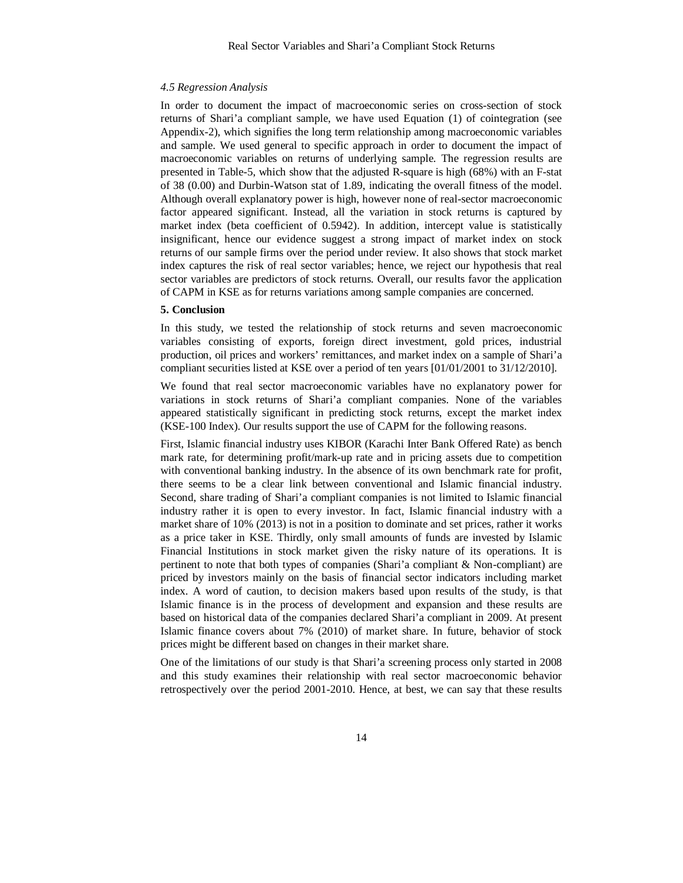#### *4.5 Regression Analysis*

In order to document the impact of macroeconomic series on cross-section of stock returns of Shari'a compliant sample, we have used Equation (1) of cointegration (see Appendix-2), which signifies the long term relationship among macroeconomic variables and sample. We used general to specific approach in order to document the impact of macroeconomic variables on returns of underlying sample. The regression results are presented in Table-5, which show that the adjusted R-square is high (68%) with an F-stat of 38 (0.00) and Durbin-Watson stat of 1.89, indicating the overall fitness of the model. Although overall explanatory power is high, however none of real-sector macroeconomic factor appeared significant. Instead, all the variation in stock returns is captured by market index (beta coefficient of 0.5942). In addition, intercept value is statistically insignificant, hence our evidence suggest a strong impact of market index on stock returns of our sample firms over the period under review. It also shows that stock market index captures the risk of real sector variables; hence, we reject our hypothesis that real sector variables are predictors of stock returns. Overall, our results favor the application of CAPM in KSE as for returns variations among sample companies are concerned.

#### **5. Conclusion**

In this study, we tested the relationship of stock returns and seven macroeconomic variables consisting of exports, foreign direct investment, gold prices, industrial production, oil prices and workers' remittances, and market index on a sample of Shari'a compliant securities listed at KSE over a period of ten years [01/01/2001 to 31/12/2010].

We found that real sector macroeconomic variables have no explanatory power for variations in stock returns of Shari'a compliant companies. None of the variables appeared statistically significant in predicting stock returns, except the market index (KSE-100 Index). Our results support the use of CAPM for the following reasons.

First, Islamic financial industry uses KIBOR (Karachi Inter Bank Offered Rate) as bench mark rate, for determining profit/mark-up rate and in pricing assets due to competition with conventional banking industry. In the absence of its own benchmark rate for profit, there seems to be a clear link between conventional and Islamic financial industry. Second, share trading of Shari'a compliant companies is not limited to Islamic financial industry rather it is open to every investor. In fact, Islamic financial industry with a market share of 10% (2013) is not in a position to dominate and set prices, rather it works as a price taker in KSE. Thirdly, only small amounts of funds are invested by Islamic Financial Institutions in stock market given the risky nature of its operations. It is pertinent to note that both types of companies (Shari'a compliant & Non-compliant) are priced by investors mainly on the basis of financial sector indicators including market index. A word of caution, to decision makers based upon results of the study, is that Islamic finance is in the process of development and expansion and these results are based on historical data of the companies declared Shari'a compliant in 2009. At present Islamic finance covers about 7% (2010) of market share. In future, behavior of stock prices might be different based on changes in their market share.

One of the limitations of our study is that Shari'a screening process only started in 2008 and this study examines their relationship with real sector macroeconomic behavior retrospectively over the period 2001-2010. Hence, at best, we can say that these results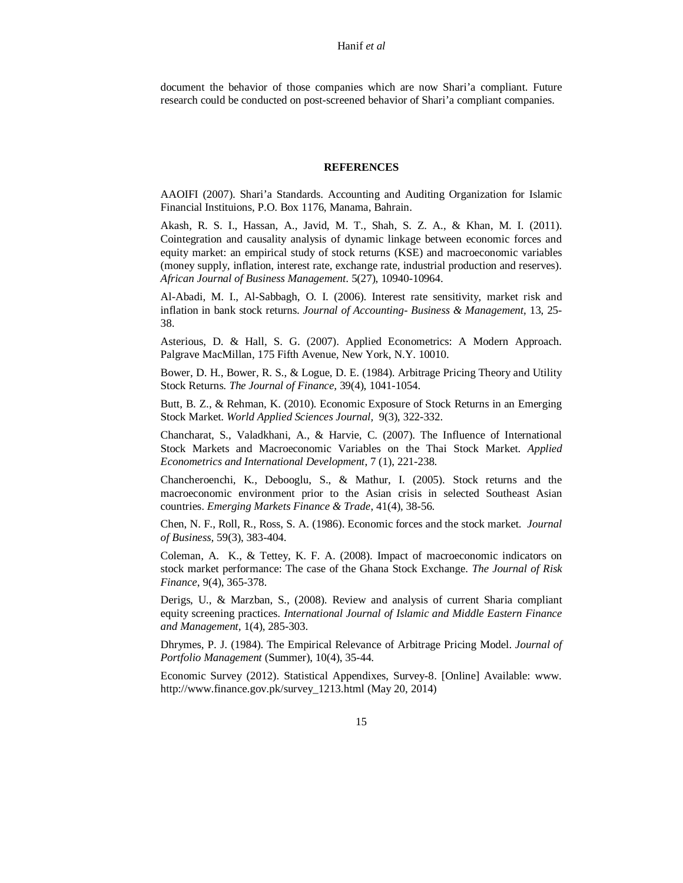document the behavior of those companies which are now Shari'a compliant. Future research could be conducted on post-screened behavior of Shari'a compliant companies.

#### **REFERENCES**

AAOIFI (2007). Shari'a Standards. Accounting and Auditing Organization for Islamic Financial Instituions, P.O. Box 1176, Manama, Bahrain.

Akash, R. S. I., Hassan, A., Javid, M. T., Shah, S. Z. A., & Khan, M. I. (2011). Cointegration and causality analysis of dynamic linkage between economic forces and equity market: an empirical study of stock returns (KSE) and macroeconomic variables (money supply, inflation, interest rate, exchange rate, industrial production and reserves). *African Journal of Business Management*. 5(27), 10940-10964.

Al-Abadi, M. I., Al-Sabbagh, O. I. (2006). Interest rate sensitivity, market risk and inflation in bank stock returns. *Journal of Accounting- Business & Management*, 13, 25- 38.

Asterious, D. & Hall, S. G. (2007). Applied Econometrics: A Modern Approach. Palgrave MacMillan, 175 Fifth Avenue, New York, N.Y. 10010.

Bower, D. H., Bower, R. S., & Logue, D. E. (1984). Arbitrage Pricing Theory and Utility Stock Returns. *The Journal of Finance,* 39(4), 1041-1054.

Butt, B. Z., & Rehman, K. (2010). Economic Exposure of Stock Returns in an Emerging Stock Market. *World Applied Sciences Journal,* 9(3), 322-332.

Chancharat, S., Valadkhani, A., & Harvie, C. (2007). The Influence of International Stock Markets and Macroeconomic Variables on the Thai Stock Market. *Applied Econometrics and International Development*, 7 (1), 221-238.

Chancheroenchi, K., Debooglu, S., & Mathur, I. (2005). Stock returns and the macroeconomic environment prior to the Asian crisis in selected Southeast Asian countries. *Emerging Markets Finance & Trade*, 41(4), 38-56.

Chen, N. F., Roll, R., Ross, S. A. (1986). Economic forces and the stock market. *Journal of Business,* 59(3), 383-404.

Coleman, A. K., & Tettey, K. F. A. (2008). Impact of macroeconomic indicators on stock market performance: The case of the Ghana Stock Exchange. *The Journal of Risk Finance*, 9(4), 365-378.

Derigs, U., & Marzban, S., (2008). Review and analysis of current Sharia compliant equity screening practices. *International Journal of Islamic and Middle Eastern Finance and Management,* 1(4), 285-303.

Dhrymes, P. J. (1984). The Empirical Relevance of Arbitrage Pricing Model. *Journal of Portfolio Management* (Summer), 10(4), 35-44.

Economic Survey (2012). Statistical Appendixes, Survey-8. [Online] Available: www. http://www.finance.gov.pk/survey\_1213.html (May 20, 2014)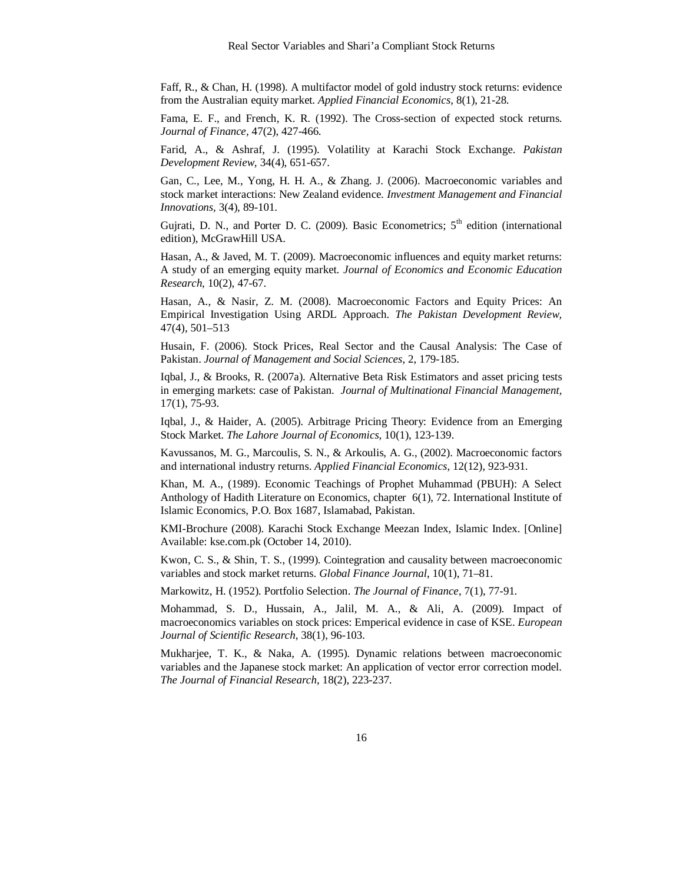Faff, R., & Chan, H. (1998). A multifactor model of gold industry stock returns: evidence from the Australian equity market. *Applied Financial Economics,* 8(1), 21-28.

Fama, E. F., and French, K. R. (1992). The Cross-section of expected stock returns. *Journal of Finance,* 47(2), 427-466.

Farid, A., & Ashraf, J. (1995). Volatility at Karachi Stock Exchange. *Pakistan Development Review,* 34(4), 651-657.

Gan, C., Lee, M., Yong, H. H. A., & Zhang. J. (2006). Macroeconomic variables and stock market interactions: New Zealand evidence. *Investment Management and Financial Innovations,* 3(4), 89-101.

Gujrati, D. N., and Porter D. C. (2009). Basic Econometrics;  $5<sup>th</sup>$  edition (international edition), McGrawHill USA.

Hasan, A., & Javed, M. T. (2009). Macroeconomic influences and equity market returns: A study of an emerging equity market. *Journal of Economics and Economic Education Research,* 10(2), 47-67.

Hasan, A., & Nasir, Z. M. (2008). Macroeconomic Factors and Equity Prices: An Empirical Investigation Using ARDL Approach. *The Pakistan Development Review,*  47(4), 501–513

Husain, F. (2006). Stock Prices, Real Sector and the Causal Analysis: The Case of Pakistan. *Journal of Management and Social Sciences,* 2, 179-185.

Iqbal, J., & Brooks, R. (2007a). Alternative Beta Risk Estimators and asset pricing tests in emerging markets: case of Pakistan. *Journal of Multinational Financial Management,*  17(1), 75-93.

Iqbal, J., & Haider, A. (2005). Arbitrage Pricing Theory: Evidence from an Emerging Stock Market. *The Lahore Journal of Economics,* 10(1), 123-139.

Kavussanos, M. G., Marcoulis, S. N., & Arkoulis, A. G., (2002). Macroeconomic factors and international industry returns. *Applied Financial Economics,* 12(12), 923-931.

Khan, M. A., (1989). Economic Teachings of Prophet Muhammad (PBUH): A Select Anthology of Hadith Literature on Economics, chapter 6(1), 72. International Institute of Islamic Economics, P.O. Box 1687, Islamabad, Pakistan.

KMI-Brochure (2008). Karachi Stock Exchange Meezan Index, Islamic Index. [Online] Available: kse.com.pk (October 14, 2010).

Kwon, C. S., & Shin, T. S., (1999). Cointegration and causality between macroeconomic variables and stock market returns. *Global Finance Journal*, 10(1), 71–81.

Markowitz, H. (1952). Portfolio Selection. *The Journal of Finance*, 7(1), 77-91.

Mohammad, S. D., Hussain, A., Jalil, M. A., & Ali, A. (2009). Impact of macroeconomics variables on stock prices: Emperical evidence in case of KSE. *European Journal of Scientific Research*, 38(1), 96-103.

Mukharjee, T. K., & Naka, A. (1995). Dynamic relations between macroeconomic variables and the Japanese stock market: An application of vector error correction model. *The Journal of Financial Research,* 18(2), 223-237.